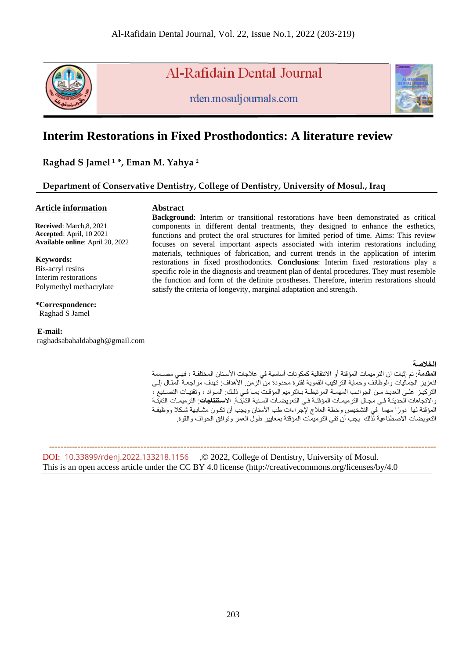

# Al-Rafidain Dental Journal

rden.mosuljournals.com



# **Interim Restorations in Fixed Prosthodontics: A literature review**

**Raghad S Jamel <sup>1</sup> \*, Eman M. Yahya <sup>2</sup>**

# **Department of Conservative Dentistry, College of Dentistry, University of Mosul., Iraq**

## **Article information**

# **Abstract**

 **Received**: March,8, 2021  **Accepted**: April, 10 2021  **Available online**: April 20, 2022

#### **Keywords:**

Bis-acryl resins Interim restorations Polymethyl methacrylate

# **\*Correspondence:**

Raghad S Jamel

## **E-mail:**

raghadsabahaldabagh@gmail.com

#### **Background**: Interim or transitional restorations have been demonstrated as critical components in different dental treatments, they designed to enhance the esthetics, functions and protect the oral structures for limited period of time. Aims: This review focuses on several important aspects associated with interim restorations including materials, techniques of fabrication, and current trends in the application of interim restorations in fixed prosthodontics. **Conclusions**: Interim fixed restorations play a specific role in the diagnosis and treatment plan of dental procedures. They must resemble the function and form of the definite prostheses. Therefore, interim restorations should satisfy the criteria of longevity, marginal adaptation and strength.

#### **الخالصة**

ا**لمقدمة**: تم إثبات ان الترميمات المؤقتة أو الانتقالية كمكونات أساسية في علاجات الأسنان المختلفة ، فهي مصـممة لتعزيز الجماليات والوظائف وحماية التراكيب الفموية لفترة محدودة من الزمن. الأهداف: تهدف مراجعـة الْمقـال إلـي التركيز على العديد من الجوانب المهمــة المرتبطــة بـالترميم المؤقت بمــا فــي ذلـك: المـواد ، وتقنيـات التصـنيع ، واالتجاهات الحديثنة فني مجناإ الترميمنات المؤقتنة فني التعويسنات السننية الثابتنة. **االستنتنجاج** : الترميمنات الثابتنة المؤقتة لها دورًا مهما ً في التشخيص وخطة العلاج لإجراءات طب الأسنان ويجب أن تكون مشـابهة شكلا ووظيفـة التعويضات الاصطناعية لذلك يجب أن تفي الترميمات المؤقتة بمعايير طول العمر وتوافق الحواف والقوة.

 **---------------------------------------------------------------------------------------------------------------------------------------** DOI: [10.33899/rdenj.2022.133218.1156](http://dx.doi.org/10.33899/rdenj.2022.133218.1156) ,© 2022, College of Dentistry, University of Mosul. This is an open access article under the CC BY 4.0 license (http://creativecommons.org/licenses/by/4.0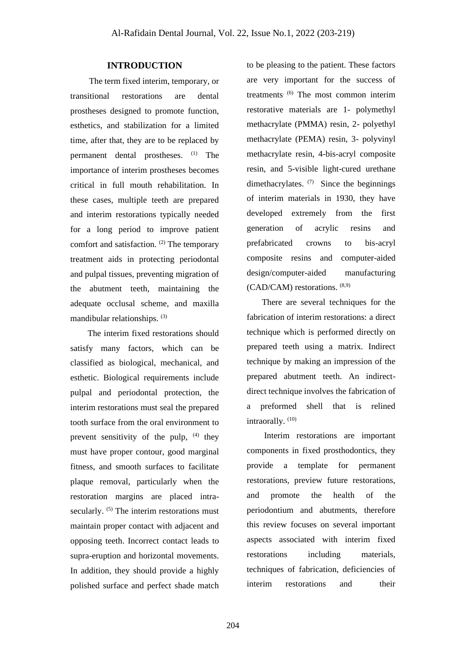# **INTRODUCTION**

 The term fixed interim, temporary, or transitional restorations are dental prostheses designed to promote function, esthetics, and stabilization for a limited time, after that, they are to be replaced by permanent dental prostheses. (1) The importance of interim prostheses becomes critical in full mouth rehabilitation. In these cases, multiple teeth are prepared and interim restorations typically needed for a long period to improve patient comfort and satisfaction. (2) The temporary treatment aids in protecting periodontal and pulpal tissues, preventing migration of the abutment teeth, maintaining the adequate occlusal scheme, and maxilla mandibular relationships. (3)

 The interim fixed restorations should satisfy many factors, which can be classified as biological, mechanical, and esthetic. Biological requirements include pulpal and periodontal protection, the interim restorations must seal the prepared tooth surface from the oral environment to prevent sensitivity of the pulp,  $(4)$  they must have proper contour, good marginal fitness, and smooth surfaces to facilitate plaque removal, particularly when the restoration margins are placed intrasecularly. <sup>(5)</sup> The interim restorations must maintain proper contact with adjacent and opposing teeth. Incorrect contact leads to supra-eruption and horizontal movements. In addition, they should provide a highly polished surface and perfect shade match to be pleasing to the patient. These factors are very important for the success of treatments. (6) The most common interim restorative materials are 1- polymethyl methacrylate (PMMA) resin, 2- polyethyl methacrylate (PEMA) resin, 3- polyvinyl methacrylate resin, 4-bis-acryl composite resin, and 5-visible light-cured urethane dimethacrylates. (7) Since the beginnings of interim materials in 1930, they have developed extremely from the first generation of acrylic resins and prefabricated crowns to bis-acryl composite resins and computer-aided design/computer-aided manufacturing (CAD/CAM) restorations. (8,9)

 There are several techniques for the fabrication of interim restorations: a direct technique which is performed directly on prepared teeth using a matrix. Indirect technique by making an impression of the prepared abutment teeth. An indirectdirect technique involves the fabrication of a preformed shell that is relined intraorally.<sup>(10)</sup>

 Interim restorations are important components in fixed prosthodontics, they provide a template for permanent restorations, preview future restorations, and promote the health of the periodontium and abutments, therefore this review focuses on several important aspects associated with interim fixed restorations including materials, techniques of fabrication, deficiencies of interim restorations and their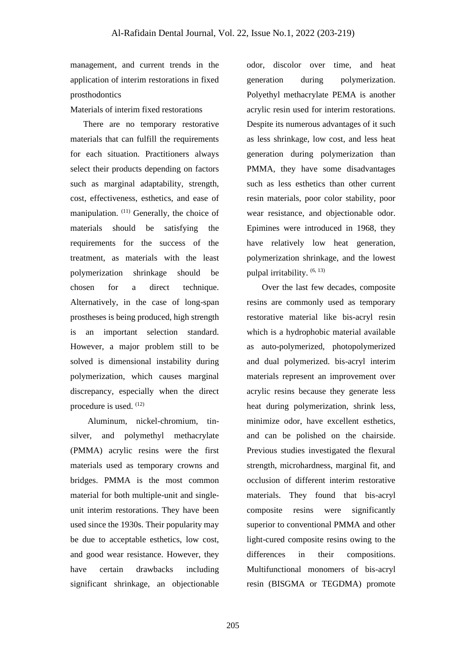management, and current trends in the application of interim restorations in fixed prosthodontics

Materials of interim fixed restorations

 There are no temporary restorative materials that can fulfill the requirements for each situation. Practitioners always select their products depending on factors such as marginal adaptability, strength, cost, effectiveness, esthetics, and ease of manipulation. <sup>(11)</sup> Generally, the choice of materials should be satisfying the requirements for the success of the treatment, as materials with the least polymerization shrinkage should be chosen for a direct technique. Alternatively, in the case of long-span prostheses is being produced, high strength is an important selection standard. However, a major problem still to be solved is dimensional instability during polymerization, which causes marginal discrepancy, especially when the direct procedure is used. (12)

 Aluminum, nickel-chromium, tinsilver, and polymethyl methacrylate (PMMA) acrylic resins were the first materials used as temporary crowns and bridges. PMMA is the most common material for both multiple-unit and singleunit interim restorations. They have been used since the 1930s. Their popularity may be due to acceptable esthetics, low cost, and good wear resistance. However, they have certain drawbacks including significant shrinkage, an objectionable

odor, discolor over time, and heat generation during polymerization. Polyethyl methacrylate PEMA is another acrylic resin used for interim restorations. Despite its numerous advantages of it such as less shrinkage, low cost, and less heat generation during polymerization than PMMA, they have some disadvantages such as less esthetics than other current resin materials, poor color stability, poor wear resistance, and objectionable odor. Epimines were introduced in 1968, they have relatively low heat generation, polymerization shrinkage, and the lowest pulpal irritability.  $(6, 13)$ 

 Over the last few decades, composite resins are commonly used as temporary restorative material like bis-acryl resin which is a hydrophobic material available as auto-polymerized, photopolymerized and dual polymerized. bis-acryl interim materials represent an improvement over acrylic resins because they generate less heat during polymerization, shrink less, minimize odor, have excellent esthetics, and can be polished on the chairside. Previous studies investigated the flexural strength, microhardness, marginal fit, and occlusion of different interim restorative materials. They found that bis-acryl composite resins were significantly superior to conventional PMMA and other light-cured composite resins owing to the differences in their compositions. Multifunctional monomers of bis-acryl resin (BISGMA or TEGDMA) promote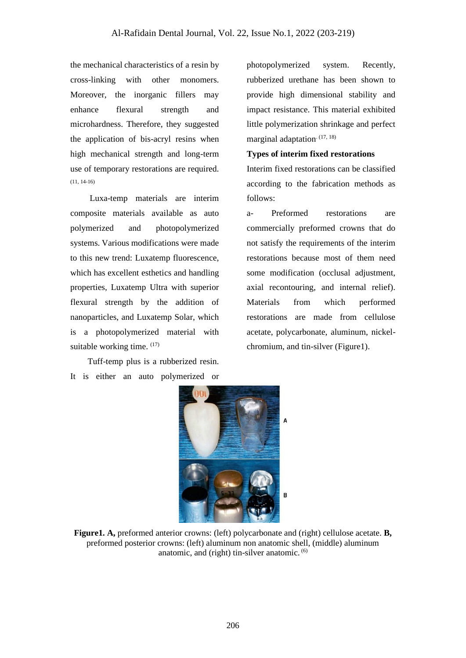the mechanical characteristics of a resin by cross-linking with other monomers. Moreover, the inorganic fillers may enhance flexural strength and microhardness. Therefore, they suggested the application of bis-acryl resins when high mechanical strength and long-term use of temporary restorations are required. (11, 14-16)

 Luxa-temp materials are interim composite materials available as auto polymerized and photopolymerized systems. Various modifications were made to this new trend: Luxatemp fluorescence, which has excellent esthetics and handling properties, Luxatemp Ultra with superior flexural strength by the addition of nanoparticles, and Luxatemp Solar, which is a photopolymerized material with suitable working time. (17)

 Tuff-temp plus is a rubberized resin. It is either an auto polymerized or photopolymerized system. Recently, rubberized urethane has been shown to provide high dimensional stability and impact resistance. This material exhibited little polymerization shrinkage and perfect marginal adaptation<sup>. (17, 18)</sup>

# **Types of interim fixed restorations**

Interim fixed restorations can be classified according to the fabrication methods as follows:

a- Preformed restorations are commercially preformed crowns that do not satisfy the requirements of the interim restorations because most of them need some modification (occlusal adjustment, axial recontouring, and internal relief). Materials from which performed restorations are made from cellulose acetate, polycarbonate, aluminum, nickelchromium, and tin-silver (Figure1).



**Figure1. A,** preformed anterior crowns: (left) polycarbonate and (right) cellulose acetate. **B,** preformed posterior crowns: (left) aluminum non anatomic shell, (middle) aluminum anatomic, and (right) tin-silver anatomic. (6)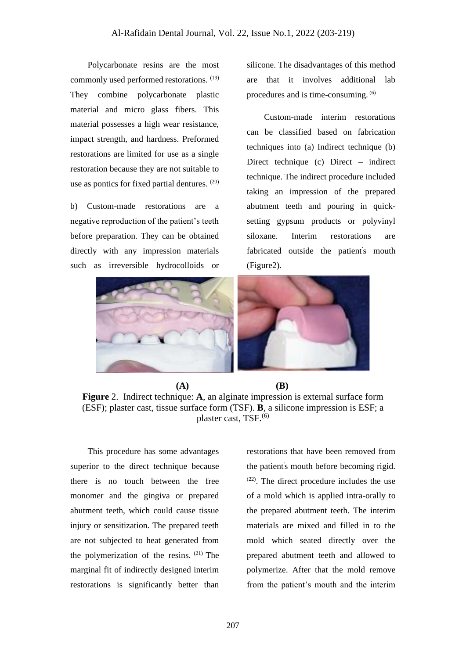Polycarbonate resins are the most commonly used performed restorations. (19) They combine polycarbonate plastic material and micro glass fibers. This material possesses a high wear resistance, impact strength, and hardness. Preformed restorations are limited for use as a single restoration because they are not suitable to use as pontics for fixed partial dentures. (20)

b) Custom-made restorations are a negative reproduction of the patient's teeth before preparation. They can be obtained directly with any impression materials such as irreversible hydrocolloids or

silicone. The disadvantages of this method are that it involves additional lab procedures and is time-consuming. (6)

 Custom-made interim restorations can be classified based on fabrication techniques into (a) Indirect technique (b) Direct technique (c) Direct – indirect technique. The indirect procedure included taking an impression of the prepared abutment teeth and pouring in quicksetting gypsum products or polyvinyl siloxane. Interim restorations are fabricated outside the patient's mouth (Figure2).



 **(A) (B) Figure** 2. Indirect technique: **A**, an alginate impression is external surface form (ESF); plaster cast, tissue surface form (TSF). **B**, a silicone impression is ESF; a plaster cast, TSF.(6)

 This procedure has some advantages superior to the direct technique because there is no touch between the free monomer and the gingiva or prepared abutment teeth, which could cause tissue injury or sensitization. The prepared teeth are not subjected to heat generated from the polymerization of the resins.  $(21)$  The marginal fit of indirectly designed interim restorations is significantly better than

restorations that have been removed from the patient' s mouth before becoming rigid. (22) . The direct procedure includes the use of a mold which is applied intra-orally to the prepared abutment teeth. The interim materials are mixed and filled in to the mold which seated directly over the prepared abutment teeth and allowed to polymerize. After that the mold remove from the patient's mouth and the interim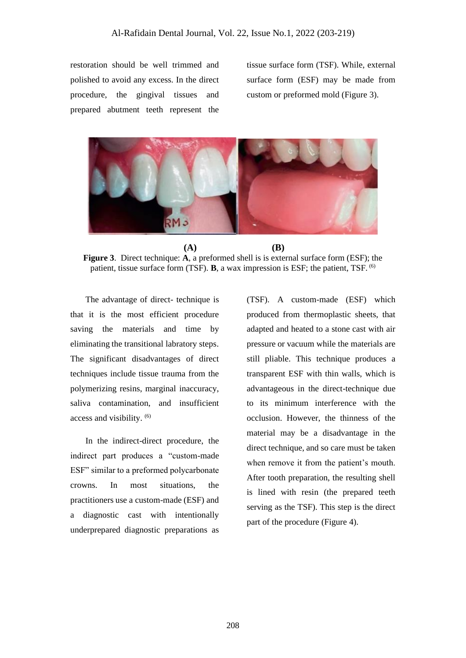restoration should be well trimmed and polished to avoid any excess. In the direct procedure, the gingival tissues and prepared abutment teeth represent the

tissue surface form (TSF). While, external surface form (ESF) may be made from custom or preformed mold (Figure 3).



**(A) (B) Figure 3**. Direct technique: **A**, a preformed shell is is external surface form (ESF); the patient, tissue surface form (TSF). **B**, a wax impression is ESF; the patient, TSF. (6)

 The advantage of direct- technique is that it is the most efficient procedure saving the materials and time by eliminating the transitional labratory steps. The significant disadvantages of direct techniques include tissue trauma from the polymerizing resins, marginal inaccuracy, saliva contamination, and insufficient access and visibility. (6)

 In the indirect-direct procedure, the indirect part produces a "custom-made ESF" similar to a preformed polycarbonate crowns. In most situations, the practitioners use a custom-made (ESF) and a diagnostic cast with intentionally underprepared diagnostic preparations as

(TSF). A custom-made (ESF) which produced from thermoplastic sheets, that adapted and heated to a stone cast with air pressure or vacuum while the materials are still pliable. This technique produces a transparent ESF with thin walls, which is advantageous in the direct-technique due to its minimum interference with the occlusion. However, the thinness of the material may be a disadvantage in the direct technique, and so care must be taken when remove it from the patient's mouth. After tooth preparation, the resulting shell is lined with resin (the prepared teeth serving as the TSF). This step is the direct part of the procedure (Figure 4).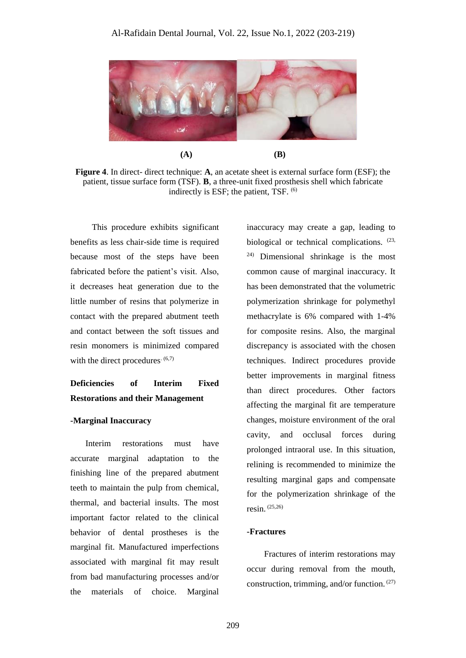

**(A) (B)**

**Figure 4**. In direct- direct technique: **A**, an acetate sheet is external surface form (ESF); the patient, tissue surface form (TSF). **B**, a three-unit fixed prosthesis shell which fabricate indirectly is ESF; the patient, TSF. (6)

 This procedure exhibits significant benefits as less chair-side time is required because most of the steps have been fabricated before the patient's visit. Also, it decreases heat generation due to the little number of resins that polymerize in contact with the prepared abutment teeth and contact between the soft tissues and resin monomers is minimized compared with the direct procedures.  $(6,7)$ 

# **Deficiencies of Interim Fixed Restorations and their Management**

### **-Marginal Inaccuracy**

 Interim restorations must have accurate marginal adaptation to the finishing line of the prepared abutment teeth to maintain the pulp from chemical, thermal, and bacterial insults. The most important factor related to the clinical behavior of dental prostheses is the marginal fit. Manufactured imperfections associated with marginal fit may result from bad manufacturing processes and/or the materials of choice. Marginal

inaccuracy may create a gap, leading to biological or technical complications.  $(23, 2)$ 24) Dimensional shrinkage is the most common cause of marginal inaccuracy. It has been demonstrated that the volumetric polymerization shrinkage for polymethyl methacrylate is 6% compared with 1-4% for composite resins. Also, the marginal discrepancy is associated with the chosen techniques. Indirect procedures provide better improvements in marginal fitness than direct procedures. Other factors affecting the marginal fit are temperature changes, moisture environment of the oral cavity, and occlusal forces during prolonged intraoral use. In this situation, relining is recommended to minimize the resulting marginal gaps and compensate for the polymerization shrinkage of the resin. (25,26)

#### **-Fractures**

 Fractures of interim restorations may occur during removal from the mouth, construction, trimming, and/or function.  $(27)$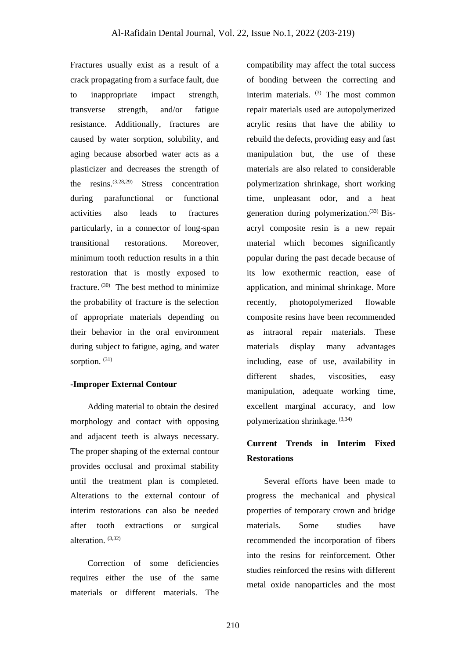Fractures usually exist as a result of a crack propagating from a surface fault, due to inappropriate impact strength, transverse strength, and/or fatigue resistance. Additionally, fractures are caused by water sorption, solubility, and aging because absorbed water acts as a plasticizer and decreases the strength of the resins.(3,28,29) Stress concentration during parafunctional or functional activities also leads to fractures particularly, in a connector of long-span transitional restorations. Moreover, minimum tooth reduction results in a thin restoration that is mostly exposed to fracture.<sup>(30)</sup> The best method to minimize the probability of fracture is the selection of appropriate materials depending on their behavior in the oral environment during subject to fatigue, aging, and water sorption.<sup>(31)</sup>

## **-Improper External Contour**

 Adding material to obtain the desired morphology and contact with opposing and adjacent teeth is always necessary. The proper shaping of the external contour provides occlusal and proximal stability until the treatment plan is completed. Alterations to the external contour of interim restorations can also be needed after tooth extractions or surgical alteration. (3,32)

 Correction of some deficiencies requires either the use of the same materials or different materials. The

compatibility may affect the total success of bonding between the correcting and interim materials. (3) The most common repair materials used are autopolymerized acrylic resins that have the ability to rebuild the defects, providing easy and fast manipulation but, the use of these materials are also related to considerable polymerization shrinkage, short working time, unpleasant odor, and a heat generation during polymerization.<sup>(33)</sup> Bisacryl composite resin is a new repair material which becomes significantly popular during the past decade because of its low exothermic reaction, ease of application, and minimal shrinkage. More recently, photopolymerized flowable composite resins have been recommended as intraoral repair materials. These materials display many advantages including, ease of use, availability in different shades, viscosities, easy manipulation, adequate working time, excellent marginal accuracy, and low polymerization shrinkage. (3,34)

# **Current Trends in Interim Fixed Restorations**

 Several efforts have been made to progress the mechanical and physical properties of temporary crown and bridge materials. Some studies have recommended the incorporation of fibers into the resins for reinforcement. Other studies reinforced the resins with different metal oxide nanoparticles and the most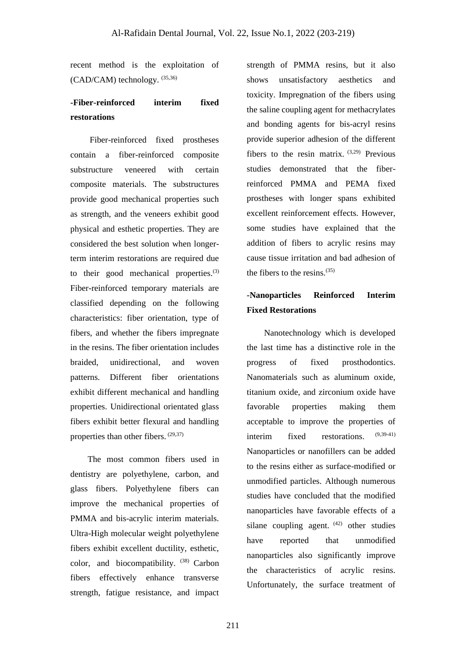recent method is the exploitation of (CAD/CAM) technology. (35,36)

# **-Fiber-reinforced interim fixed restorations**

 Fiber-reinforced fixed prostheses contain a fiber-reinforced composite substructure veneered with certain composite materials. The substructures provide good mechanical properties such as strength, and the veneers exhibit good physical and esthetic properties. They are considered the best solution when longerterm interim restorations are required due to their good mechanical properties. $(3)$ Fiber-reinforced temporary materials are classified depending on the following characteristics: fiber orientation, type of fibers, and whether the fibers impregnate in the resins. The fiber orientation includes braided, unidirectional, and woven patterns. Different fiber orientations exhibit different mechanical and handling properties. Unidirectional orientated glass fibers exhibit better flexural and handling properties than other fibers. (29,37)

 The most common fibers used in dentistry are polyethylene, carbon, and glass fibers. Polyethylene fibers can improve the mechanical properties of PMMA and bis-acrylic interim materials. Ultra-High molecular weight polyethylene fibers exhibit excellent ductility, esthetic, color, and biocompatibility. (38) Carbon fibers effectively enhance transverse strength, fatigue resistance, and impact strength of PMMA resins, but it also shows unsatisfactory aesthetics and toxicity. Impregnation of the fibers using the saline coupling agent for methacrylates and bonding agents for bis-acryl resins provide superior adhesion of the different fibers to the resin matrix.  $(3,29)$  Previous studies demonstrated that the fiberreinforced PMMA and PEMA fixed prostheses with longer spans exhibited excellent reinforcement effects. However, some studies have explained that the addition of fibers to acrylic resins may cause tissue irritation and bad adhesion of the fibers to the resins.(35)

# **-Nanoparticles Reinforced Interim Fixed Restorations**

 Nanotechnology which is developed the last time has a distinctive role in the progress of fixed prosthodontics. Nanomaterials such as aluminum oxide, titanium oxide, and zirconium oxide have favorable properties making them acceptable to improve the properties of interim fixed restorations. (9,39-41) Nanoparticles or nanofillers can be added to the resins either as surface-modified or unmodified particles. Although numerous studies have concluded that the modified nanoparticles have favorable effects of a silane coupling agent.  $(42)$  other studies have reported that unmodified nanoparticles also significantly improve the characteristics of acrylic resins. Unfortunately, the surface treatment of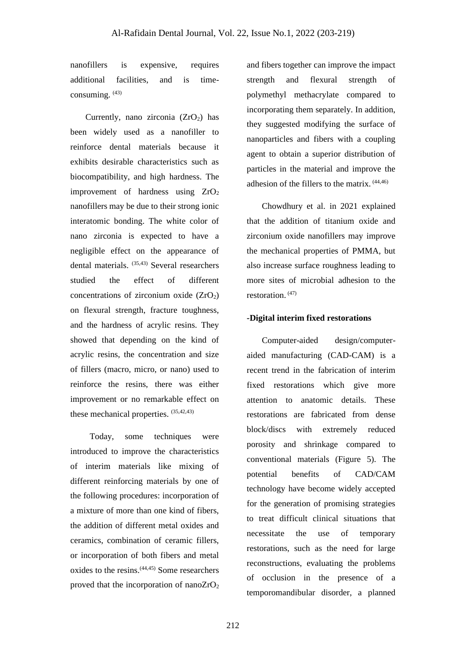nanofillers is expensive, requires additional facilities, and is timeconsuming. (43)

Currently, nano zirconia  $(ZrO<sub>2</sub>)$  has been widely used as a nanofiller to reinforce dental materials because it exhibits desirable characteristics such as biocompatibility, and high hardness. The improvement of hardness using  $ZrO<sub>2</sub>$ nanofillers may be due to their strong ionic interatomic bonding. The white color of nano zirconia is expected to have a negligible effect on the appearance of dental materials. (35,43) Several researchers studied the effect of different concentrations of zirconium oxide  $(ZrO<sub>2</sub>)$ on flexural strength, fracture toughness, and the hardness of acrylic resins. They showed that depending on the kind of acrylic resins, the concentration and size of fillers (macro, micro, or nano) used to reinforce the resins, there was either improvement or no remarkable effect on these mechanical properties. (35,42,43)

 Today, some techniques were introduced to improve the characteristics of interim materials like mixing of different reinforcing materials by one of the following procedures: incorporation of a mixture of more than one kind of fibers, the addition of different metal oxides and ceramics, combination of ceramic fillers, or incorporation of both fibers and metal oxides to the resins.(44,45) Some researchers proved that the incorporation of nano $ZrO<sub>2</sub>$  and fibers together can improve the impact strength and flexural strength of polymethyl methacrylate compared to incorporating them separately. In addition, they suggested modifying the surface of nanoparticles and fibers with a coupling agent to obtain a superior distribution of particles in the material and improve the adhesion of the fillers to the matrix. (44,46)

 Chowdhury et al. in 2021 explained that the addition of titanium oxide and zirconium oxide nanofillers may improve the mechanical properties of PMMA, but also increase surface roughness leading to more sites of microbial adhesion to the restoration. (47)

## **-Digital interim fixed restorations**

 Computer-aided design/computeraided manufacturing (CAD-CAM) is a recent trend in the fabrication of interim fixed restorations which give more attention to anatomic details. These restorations are fabricated from dense block/discs with extremely reduced porosity and shrinkage compared to conventional materials (Figure 5). The potential benefits of CAD/CAM technology have become widely accepted for the generation of promising strategies to treat difficult clinical situations that necessitate the use of temporary restorations, such as the need for large reconstructions, evaluating the problems of occlusion in the presence of a temporomandibular disorder, a planned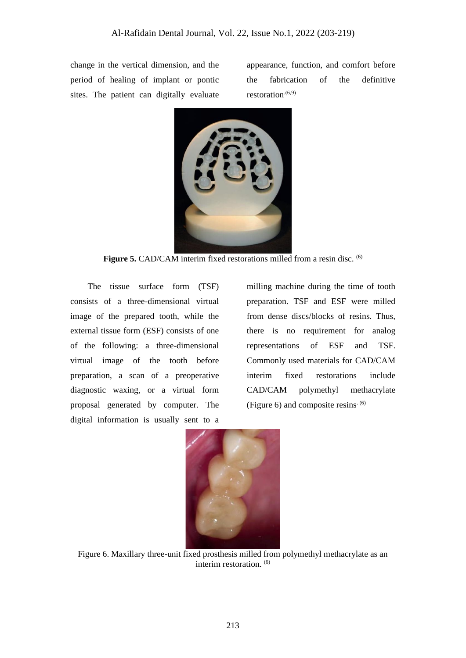change in the vertical dimension, and the period of healing of implant or pontic sites. The patient can digitally evaluate

appearance, function, and comfort before the fabrication of the definitive restoration.<sup>(6,9)</sup>



Figure 5. CAD/CAM interim fixed restorations milled from a resin disc. <sup>(6)</sup>

 The tissue surface form (TSF) consists of a three-dimensional virtual image of the prepared tooth, while the external tissue form (ESF) consists of one of the following: a three-dimensional virtual image of the tooth before preparation, a scan of a preoperative diagnostic waxing, or a virtual form proposal generated by computer. The digital information is usually sent to a

milling machine during the time of tooth preparation. TSF and ESF were milled from dense discs/blocks of resins. Thus, there is no requirement for analog representations of ESF and TSF. Commonly used materials for CAD/CAM interim fixed restorations include CAD/CAM polymethyl methacrylate (Figure 6) and composite resins.  $(6)$ 



Figure 6. Maxillary three-unit fixed prosthesis milled from polymethyl methacrylate as an interim restoration. (6)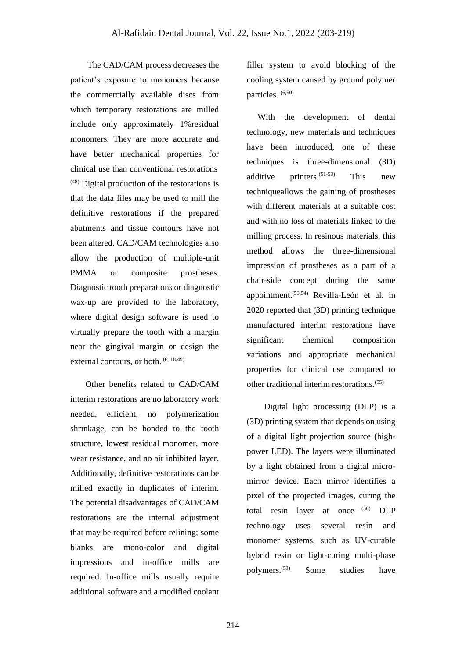The CAD/CAM process decreases the patient's exposure to monomers because the commercially available discs from which temporary restorations are milled include only approximately 1%residual monomers. They are more accurate and have better mechanical properties for clinical use than conventional restorations.  $(48)$  Digital production of the restorations is that the data files may be used to mill the definitive restorations if the prepared abutments and tissue contours have not been altered. CAD/CAM technologies also allow the production of multiple-unit PMMA or composite prostheses. Diagnostic tooth preparations or diagnostic wax-up are provided to the laboratory, where digital design software is used to virtually prepare the tooth with a margin near the gingival margin or design the external contours, or both. (6, 18,49)

 Other benefits related to CAD/CAM interim restorations are no laboratory work needed, efficient, no polymerization shrinkage, can be bonded to the tooth structure, lowest residual monomer, more wear resistance, and no air inhibited layer. Additionally, definitive restorations can be milled exactly in duplicates of interim. The potential disadvantages of CAD/CAM restorations are the internal adjustment that may be required before relining; some blanks are mono-color and digital impressions and in-office mills are required. In-office mills usually require additional software and a modified coolant

filler system to avoid blocking of the cooling system caused by ground polymer particles. (6,50)

 With the development of dental technology, new materials and techniques have been introduced, one of these techniques is three-dimensional (3D) additive printers. (51-53) This new techniqueallows the gaining of prostheses with different materials at a suitable cost and with no loss of materials linked to the milling process. In resinous materials, this method allows the three-dimensional impression of prostheses as a part of a chair-side concept during the same appointment.(53,54) Revilla-León et al. in 2020 reported that (3D) printing technique manufactured interim restorations have significant chemical composition variations and appropriate mechanical properties for clinical use compared to other traditional interim restorations.(55)

 Digital light processing (DLP) is a (3D) printing system that depends on using of a digital light projection source (highpower LED). The layers were illuminated by a light obtained from a digital micromirror device. Each mirror identifies a pixel of the projected images, curing the total resin layer at once (56) DLP technology uses several resin and monomer systems, such as UV-curable hybrid resin or light-curing multi-phase polymers.(53) Some studies have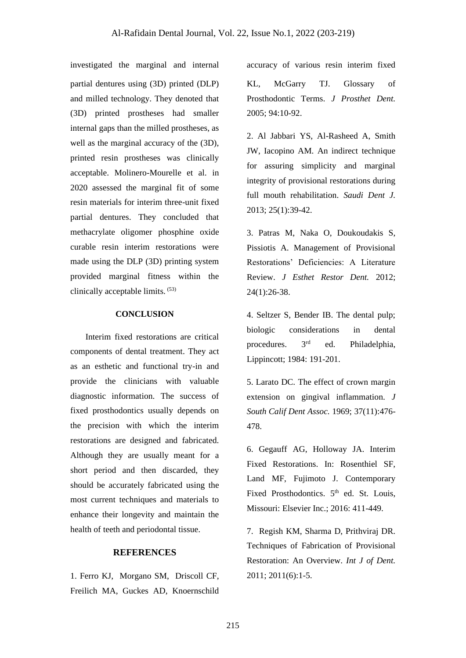investigated the marginal and internal accuracy of various resin interim fixed partial dentures using (3D) printed (DLP) and milled technology. They denoted that (3D) printed prostheses had smaller internal gaps than the milled prostheses, as well as the marginal accuracy of the (3D), printed resin prostheses was clinically acceptable. Molinero-Mourelle et al. in 2020 assessed the marginal fit of some resin materials for interim three-unit fixed partial dentures. They concluded that methacrylate oligomer phosphine oxide curable resin interim restorations were made using the DLP (3D) printing system provided marginal fitness within the clinically acceptable limits. (53)

## **CONCLUSION**

 Interim fixed restorations are critical components of dental treatment. They act as an esthetic and functional try-in and provide the clinicians with valuable diagnostic information. The success of fixed prosthodontics usually depends on the precision with which the interim restorations are designed and fabricated. Although they are usually meant for a short period and then discarded, they should be accurately fabricated using the most current techniques and materials to enhance their longevity and maintain the health of teeth and periodontal tissue.

## **REFERENCES**

1. Ferro KJ, Morgano SM, Driscoll CF, Freilich MA, Guckes AD, Knoernschild

KL, McGarry TJ. Glossary of Prosthodontic Terms. *J Prosthet Dent.* 2005; 94:10-92.

2. Al Jabbari YS, Al-Rasheed A, Smith JW, Iacopino AM. An indirect technique for assuring simplicity and marginal integrity of provisional restorations during full mouth rehabilitation. *Saudi Dent J.* 2013; 25(1):39-42.

3. Patras M, Naka O, Doukoudakis S, Pissiotis A. Management of Provisional Restorations' Deficiencies: A Literature Review. *J Esthet Restor Dent.* 2012; 24(1):26-38.

4. Seltzer S, Bender IB. The dental pulp; biologic considerations in dental procedures. 3rd ed. Philadelphia, Lippincott; 1984: 191-201.

5. Larato DC. The effect of crown margin extension on gingival inflammation. *J South Calif Dent Assoc.* 1969; 37(11):476- 478.

6. Gegauff AG, Holloway JA. Interim Fixed Restorations. In: Rosenthiel SF, Land MF, Fujimoto J. Contemporary Fixed Prosthodontics.  $5<sup>th</sup>$  ed. St. Louis, Missouri: Elsevier Inc.; 2016: 411-449.

7. Regish KM, Sharma D, Prithviraj DR. Techniques of Fabrication of Provisional Restoration: An Overview. *Int J of Dent.* 2011; 2011(6):1-5.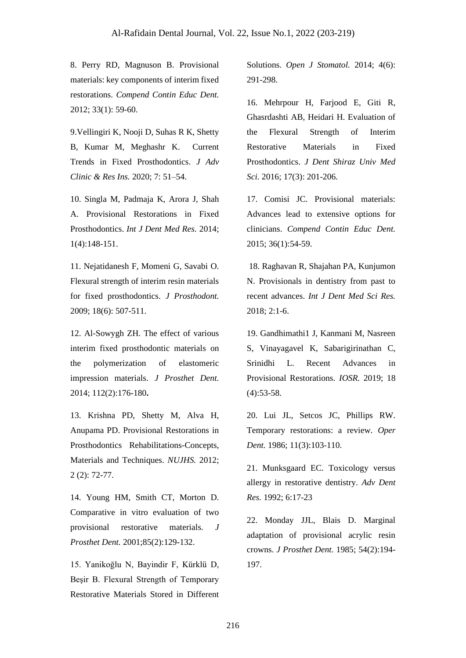8. Perry RD, Magnuson B. Provisional materials: key components of interim fixed restorations. *Compend Contin Educ Dent.* 2012; 33(1): 59-60.

9.Vellingiri K, Nooji D, Suhas R K, Shetty B, Kumar M, Meghashr K. Current Trends in Fixed Prosthodontics. *J Adv Clinic & Res Ins.* 2020; 7: 51–54.

10. Singla M, Padmaja K, Arora J, Shah A. Provisional Restorations in Fixed Prosthodontics. *Int J Dent Med Res.* 2014; 1(4):148-151.

11. Nejatidanesh F, Momeni G, Savabi O. Flexural strength of interim resin materials for fixed prosthodontics. *J Prosthodont.* 2009; 18(6): 507-511.

12. Al-Sowygh ZH. The effect of various interim fixed prosthodontic materials on the polymerization of elastomeric impression materials. *J Prosthet Dent.* 2014; 112(2):176-180**.**

13. Krishna PD, Shetty M, Alva H, Anupama PD. Provisional Restorations in Prosthodontics Rehabilitations-Concepts, Materials and Techniques. *NUJHS.* 2012; 2 (2): 72-77.

14. Young HM, Smith CT, Morton D. Comparative in vitro evaluation of two provisional restorative materials. *J Prosthet Dent.* 2001;85(2):129-132.

15. Yanikoğlu N, Bayindir F, Kürklü D, Beşir B. Flexural Strength of Temporary Restorative Materials Stored in Different Solutions. *Open J Stomatol.* 2014; 4(6): 291-298.

16. Mehrpour H, Farjood E, Giti R, Ghasrdashti AB, Heidari H. Evaluation of the Flexural Strength of Interim Restorative Materials in Fixed Prosthodontics. *J Dent Shiraz Univ Med Sci.* 2016; 17(3): 201-206.

17. Comisi JC. Provisional materials: Advances lead to extensive options for clinicians. *Compend Contin Educ Dent.* 2015; 36(1):54-59.

18. Raghavan R, Shajahan PA, Kunjumon N. Provisionals in dentistry from past to recent advances. *Int J Dent Med Sci Res.* 2018; 2:1-6.

19. Gandhimathi1 J, Kanmani M, Nasreen S, Vinayagavel K, Sabarigirinathan C, Srinidhi L. Recent Advances in Provisional Restorations. *IOSR.* 2019; 18  $(4):$ 53-58.

20. Lui JL, Setcos JC, Phillips RW. Temporary restorations: a review. *Oper Dent.* 1986; 11(3):103-110.

21. Munksgaard EC. Toxicology versus allergy in restorative dentistry. *Adv Dent Res.* 1992; 6:17-23

22. Monday JJL, Blais D. Marginal adaptation of provisional acrylic resin crowns. *J Prosthet Dent.* 1985; 54(2):194- 197.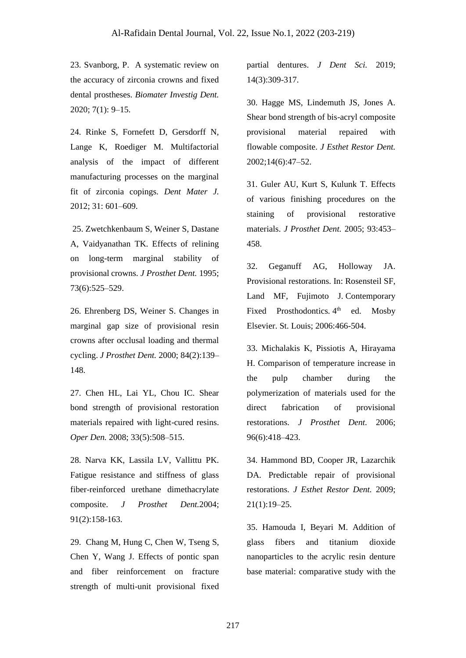23. Svanborg, P. A systematic review on the accuracy of zirconia crowns and fixed dental prostheses. *Biomater Investig Dent.* 2020; 7(1): 9–15.

24. Rinke S, Fornefett D, Gersdorff N, Lange K, Roediger M. Multifactorial analysis of the impact of different manufacturing processes on the marginal fit of zirconia copings. *Dent Mater J.* 2012; 31: 601–609.

25. Zwetchkenbaum S, Weiner S, Dastane A, Vaidyanathan TK. Effects of relining on long-term marginal stability of provisional crowns. *J Prosthet Dent.* 1995; 73(6):525–529.

26. Ehrenberg DS, Weiner S. Changes in marginal gap size of provisional resin crowns after occlusal loading and thermal cycling. *J Prosthet Dent.* 2000; 84(2):139– 148.

27. Chen HL, Lai YL, Chou IC. Shear bond strength of provisional restoration materials repaired with light-cured resins. *Oper Den.* 2008; 33(5):508–515.

28. Narva KK, Lassila LV, Vallittu PK. Fatigue resistance and stiffness of glass fiber-reinforced urethane dimethacrylate composite. *J Prosthet Dent.*2004; 91(2):158-163.

29. Chang M, Hung C, Chen W, Tseng S, Chen Y, Wang J. Effects of pontic span and fiber reinforcement on fracture strength of multi-unit provisional fixed

partial dentures. *J Dent Sci.* 2019; 14(3):309-317.

30. Hagge MS, Lindemuth JS, Jones A. Shear bond strength of bis-acryl composite provisional material repaired with flowable composite. *J Esthet Restor Dent.* 2002;14(6):47–52.

31. Guler AU, Kurt S, Kulunk T. Effects of various finishing procedures on the staining of provisional restorative materials. *J Prosthet Dent.* 2005; 93:453– 458.

32. Geganuff AG, Holloway JA. Provisional restorations. In: Rosensteil SF, Land MF, Fujimoto J. Contemporary Fixed Prosthodontics. 4<sup>th</sup> ed. Mosby Elsevier. St. Louis; 2006:466-504.

33. Michalakis K, Pissiotis A, Hirayama H. Comparison of temperature increase in the pulp chamber during the polymerization of materials used for the direct fabrication of provisional restorations. *J Prosthet Dent.* 2006; 96(6):418–423.

34. Hammond BD, Cooper JR, Lazarchik DA. Predictable repair of provisional restorations. *J Esthet Restor Dent.* 2009; 21(1):19–25.

35. Hamouda I, Beyari M. Addition of glass fibers and titanium dioxide nanoparticles to the acrylic resin denture base material: comparative study with the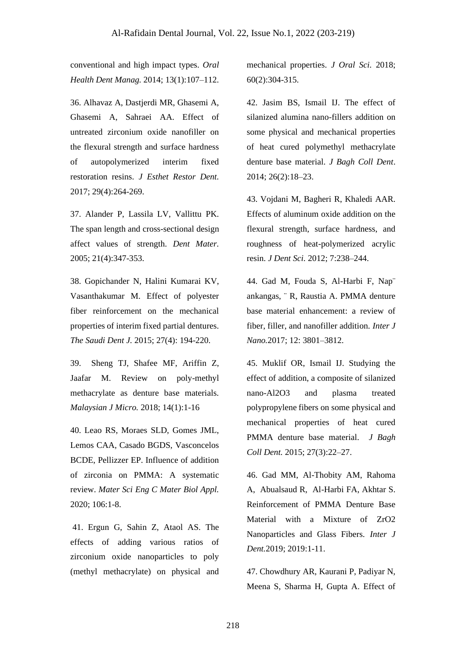conventional and high impact types. *Oral Health Dent Manag.* 2014; 13(1):107–112.

36. Alhavaz A, Dastjerdi MR, Ghasemi A, Ghasemi A, Sahraei AA. Effect of untreated zirconium oxide nanofiller on the flexural strength and surface hardness of autopolymerized interim fixed restoration resins. *J Esthet Restor Dent.*  2017; 29(4):264-269.

37. Alander P, Lassila LV, Vallittu PK. The span length and cross-sectional design affect values of strength. *Dent Mater.* 2005; 21(4):347-353.

38. Gopichander N, Halini Kumarai KV, Vasanthakumar M. Effect of polyester fiber reinforcement on the mechanical properties of interim fixed partial dentures. *The Saudi Dent J.* 2015; 27(4): 194-220.

39. Sheng TJ, Shafee MF, Ariffin Z, Jaafar M. Review on poly-methyl methacrylate as denture base materials. *Malaysian J Micro.* 2018; 14(1):1-16

40. Leao RS, Moraes SLD, Gomes JML, Lemos CAA, Casado BGDS, Vasconcelos BCDE, Pellizzer EP. Influence of addition of zirconia on PMMA: A systematic review. *Mater Sci Eng C Mater Biol Appl.* 2020; 106:1-8.

41. Ergun G, Sahin Z, Ataol AS. The effects of adding various ratios of zirconium oxide nanoparticles to poly (methyl methacrylate) on physical and

mechanical properties. *J Oral Sci.* 2018; 60(2):304-315.

42. Jasim BS, Ismail IJ. The effect of silanized alumina nano-fillers addition on some physical and mechanical properties of heat cured polymethyl methacrylate denture base material. *J Bagh Coll Dent*. 2014; 26(2):18–23.

43. Vojdani M, Bagheri R, Khaledi AAR. Effects of aluminum oxide addition on the flexural strength, surface hardness, and roughness of heat-polymerized acrylic resin. *J Dent Sci.* 2012; 7:238–244.

44. Gad M, Fouda S, Al-Harbi F, Nap¨ ankangas, ¨ R, Raustia A. PMMA denture base material enhancement: a review of fiber, filler, and nanofiller addition. *Inter J Nano.*2017; 12: 3801–3812.

45. Muklif OR, Ismail IJ. Studying the effect of addition, a composite of silanized nano-Al2O3 and plasma treated polypropylene fibers on some physical and mechanical properties of heat cured PMMA denture base material. *J Bagh Coll Dent.* 2015; 27(3):22–27.

46. Gad MM, Al-Thobity AM, Rahoma A, Abualsaud R, Al-Harbi FA, Akhtar S. Reinforcement of PMMA Denture Base Material with a Mixture of ZrO2 Nanoparticles and Glass Fibers. *Inter J Dent.*2019; 2019:1-11.

47. Chowdhury AR, Kaurani P, Padiyar N, Meena S, Sharma H, Gupta A. Effect of